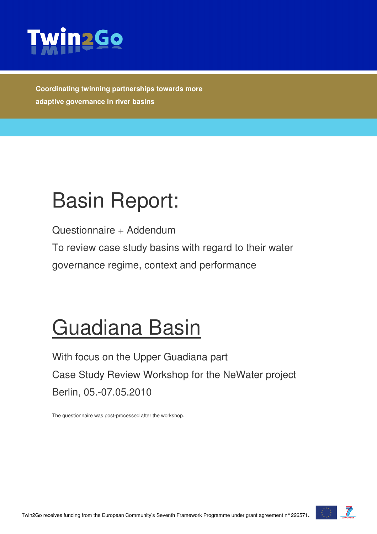

**Coordinating twinning partnerships towards more adaptive governance in river basins** 

# Basin Report:

Questionnaire + Addendum

To review case study basins with regard to their water governance regime, context and performance

# Guadiana Basin

With focus on the Upper Guadiana part Case Study Review Workshop for the NeWater project Berlin, 05.-07.05.2010

The questionnaire was post-processed after the workshop.



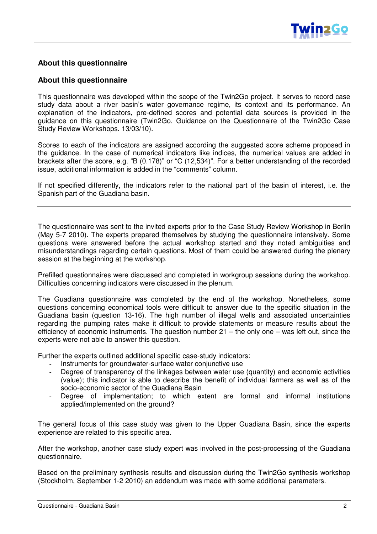

#### **About this questionnaire**

#### **About this questionnaire**

This questionnaire was developed within the scope of the Twin2Go project. It serves to record case study data about a river basin's water governance regime, its context and its performance. An explanation of the indicators, pre-defined scores and potential data sources is provided in the guidance on this questionnaire (Twin2Go, Guidance on the Questionnaire of the Twin2Go Case Study Review Workshops. 13/03/10).

Scores to each of the indicators are assigned according the suggested score scheme proposed in the guidance. In the case of numerical indicators like indices, the numerical values are added in brackets after the score, e.g. "B (0.178)" or "C (12,534)". For a better understanding of the recorded issue, additional information is added in the "comments" column.

If not specified differently, the indicators refer to the national part of the basin of interest, i.e. the Spanish part of the Guadiana basin.

The questionnaire was sent to the invited experts prior to the Case Study Review Workshop in Berlin (May 5-7 2010). The experts prepared themselves by studying the questionnaire intensively. Some questions were answered before the actual workshop started and they noted ambiguities and misunderstandings regarding certain questions. Most of them could be answered during the plenary session at the beginning at the workshop.

Prefilled questionnaires were discussed and completed in workgroup sessions during the workshop. Difficulties concerning indicators were discussed in the plenum.

The Guadiana questionnaire was completed by the end of the workshop. Nonetheless, some questions concerning economical tools were difficult to answer due to the specific situation in the Guadiana basin (question 13-16). The high number of illegal wells and associated uncertainties regarding the pumping rates make it difficult to provide statements or measure results about the efficiency of economic instruments. The question number  $21 -$  the only one – was left out, since the experts were not able to answer this question.

Further the experts outlined additional specific case-study indicators:

- Instruments for groundwater-surface water conjunctive use
- Degree of transparency of the linkages between water use (quantity) and economic activities (value); this indicator is able to describe the benefit of individual farmers as well as of the socio-economic sector of the Guadiana Basin
- Degree of implementation; to which extent are formal and informal institutions applied/implemented on the ground?

The general focus of this case study was given to the Upper Guadiana Basin, since the experts experience are related to this specific area.

After the workshop, another case study expert was involved in the post-processing of the Guadiana questionnaire.

Based on the preliminary synthesis results and discussion during the Twin2Go synthesis workshop (Stockholm, September 1-2 2010) an addendum was made with some additional parameters.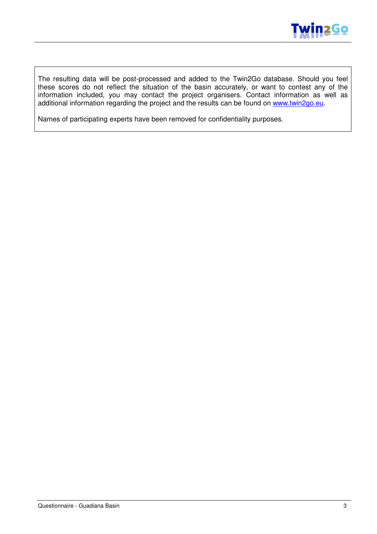

The resulting data will be post-processed and added to the Twin2Go database. Should you feel these scores do not reflect the situation of the basin accurately, or want to contest any of the information included, you may contact the project organisers. Contact information as well as additional information regarding the project and the results can be found on www.twin2go.eu.

Names of participating experts have been removed for confidentiality purposes.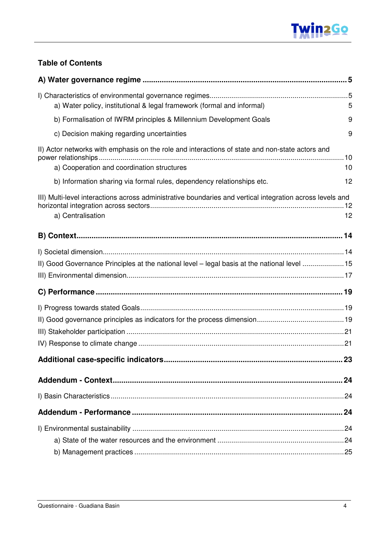

#### **Table of Contents**

| a) Water policy, institutional & legal framework (formal and informal)                                                                        | 5    |
|-----------------------------------------------------------------------------------------------------------------------------------------------|------|
| b) Formalisation of IWRM principles & Millennium Development Goals                                                                            | 9    |
| c) Decision making regarding uncertainties                                                                                                    | 9    |
| II) Actor networks with emphasis on the role and interactions of state and non-state actors and<br>a) Cooperation and coordination structures | 10   |
| b) Information sharing via formal rules, dependency relationships etc.                                                                        | 12   |
|                                                                                                                                               |      |
| III) Multi-level interactions across administrative boundaries and vertical integration across levels and                                     |      |
| a) Centralisation                                                                                                                             | 12   |
|                                                                                                                                               |      |
|                                                                                                                                               |      |
| II) Good Governance Principles at the national level – legal basis at the national level 15                                                   |      |
|                                                                                                                                               |      |
|                                                                                                                                               |      |
|                                                                                                                                               |      |
|                                                                                                                                               |      |
|                                                                                                                                               |      |
|                                                                                                                                               |      |
|                                                                                                                                               | . 23 |
|                                                                                                                                               | 24   |
|                                                                                                                                               |      |
|                                                                                                                                               |      |
|                                                                                                                                               |      |
|                                                                                                                                               |      |
|                                                                                                                                               |      |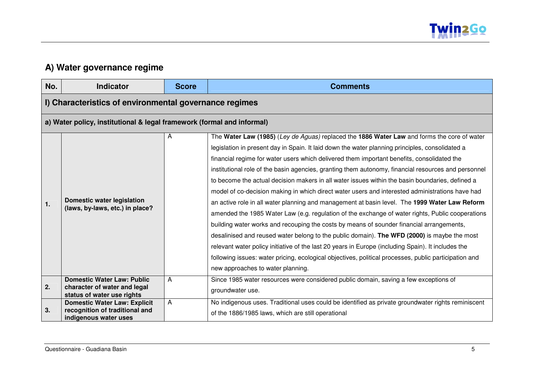

### **A) Water governance regime**

| No. | <b>Indicator</b>                                                                                | <b>Score</b> | <b>Comments</b>                                                                                                                                                                                                                                                                                                                                                                                                                                                                                                                                                                                                                                                                                                                                                                                                                                                                                                                                                                                                                                                                                                                                                                                                                                               |
|-----|-------------------------------------------------------------------------------------------------|--------------|---------------------------------------------------------------------------------------------------------------------------------------------------------------------------------------------------------------------------------------------------------------------------------------------------------------------------------------------------------------------------------------------------------------------------------------------------------------------------------------------------------------------------------------------------------------------------------------------------------------------------------------------------------------------------------------------------------------------------------------------------------------------------------------------------------------------------------------------------------------------------------------------------------------------------------------------------------------------------------------------------------------------------------------------------------------------------------------------------------------------------------------------------------------------------------------------------------------------------------------------------------------|
|     | I) Characteristics of environmental governance regimes                                          |              |                                                                                                                                                                                                                                                                                                                                                                                                                                                                                                                                                                                                                                                                                                                                                                                                                                                                                                                                                                                                                                                                                                                                                                                                                                                               |
|     | a) Water policy, institutional & legal framework (formal and informal)                          |              |                                                                                                                                                                                                                                                                                                                                                                                                                                                                                                                                                                                                                                                                                                                                                                                                                                                                                                                                                                                                                                                                                                                                                                                                                                                               |
| 1.  | <b>Domestic water legislation</b><br>(laws, by-laws, etc.) in place?                            | A            | The Water Law (1985) (Ley de Aguas) replaced the 1886 Water Law and forms the core of water<br>legislation in present day in Spain. It laid down the water planning principles, consolidated a<br>financial regime for water users which delivered them important benefits, consolidated the<br>institutional role of the basin agencies, granting them autonomy, financial resources and personnel<br>to become the actual decision makers in all water issues within the basin boundaries, defined a<br>model of co-decision making in which direct water users and interested administrations have had<br>an active role in all water planning and management at basin level. The 1999 Water Law Reform<br>amended the 1985 Water Law (e.g. regulation of the exchange of water rights, Public cooperations<br>building water works and recouping the costs by means of sounder financial arrangements,<br>desalinised and reused water belong to the public domain). The WFD (2000) is maybe the most<br>relevant water policy initiative of the last 20 years in Europe (including Spain). It includes the<br>following issues: water pricing, ecological objectives, political processes, public participation and<br>new approaches to water planning. |
| 2.  | <b>Domestic Water Law: Public</b><br>character of water and legal<br>status of water use rights | A            | Since 1985 water resources were considered public domain, saving a few exceptions of<br>groundwater use.                                                                                                                                                                                                                                                                                                                                                                                                                                                                                                                                                                                                                                                                                                                                                                                                                                                                                                                                                                                                                                                                                                                                                      |
| 3.  | <b>Domestic Water Law: Explicit</b><br>recognition of traditional and<br>indigenous water uses  | A            | No indigenous uses. Traditional uses could be identified as private groundwater rights reminiscent<br>of the 1886/1985 laws, which are still operational                                                                                                                                                                                                                                                                                                                                                                                                                                                                                                                                                                                                                                                                                                                                                                                                                                                                                                                                                                                                                                                                                                      |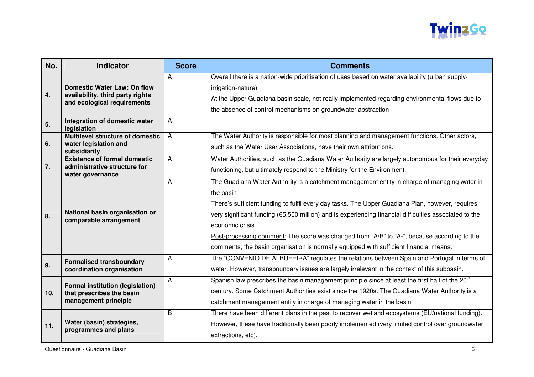

| No.             | <b>Indicator</b>                                                                                      | <b>Score</b> | <b>Comments</b>                                                                                                                                                                                                                                                                                                                                                                                                                                                                                                                      |
|-----------------|-------------------------------------------------------------------------------------------------------|--------------|--------------------------------------------------------------------------------------------------------------------------------------------------------------------------------------------------------------------------------------------------------------------------------------------------------------------------------------------------------------------------------------------------------------------------------------------------------------------------------------------------------------------------------------|
| 4.              | <b>Domestic Water Law: On flow</b><br>availability, third party rights<br>and ecological requirements | A            | Overall there is a nation-wide prioritisation of uses based on water availability (urban supply-<br>irrigation-nature)<br>At the Upper Guadiana basin scale, not really implemented regarding environmental flows due to<br>the absence of control mechanisms on groundwater abstraction                                                                                                                                                                                                                                             |
| 5.              | Integration of domestic water<br>legislation                                                          | A            |                                                                                                                                                                                                                                                                                                                                                                                                                                                                                                                                      |
| 6.              | Multilevel structure of domestic<br>water legislation and<br>subsidiarity                             | $\mathsf{A}$ | The Water Authority is responsible for most planning and management functions. Other actors,<br>such as the Water User Associations, have their own attributions.                                                                                                                                                                                                                                                                                                                                                                    |
| 7.              | <b>Existence of formal domestic</b><br>administrative structure for<br>water governance               | A            | Water Authorities, such as the Guadiana Water Authority are largely autonomous for their everyday<br>functioning, but ultimately respond to the Ministry for the Environment.                                                                                                                                                                                                                                                                                                                                                        |
| 8.              | National basin organisation or<br>comparable arrangement                                              | $A -$        | The Guadiana Water Authority is a catchment management entity in charge of managing water in<br>the basin<br>There's sufficient funding to fulfil every day tasks. The Upper Guadiana Plan, however, requires<br>very significant funding (€5.500 million) and is experiencing financial difficulties associated to the<br>economic crisis.<br>Post-processing comment: The score was changed from "A/B" to "A-", because according to the<br>comments, the basin organisation is normally equipped with sufficient financial means. |
| 9.              | <b>Formalised transboundary</b><br>coordination organisation                                          | A            | The "CONVENIO DE ALBUFEIRA" regulates the relations between Spain and Portugal in terms of<br>water. However, transboundary issues are largely irrelevant in the context of this subbasin.                                                                                                                                                                                                                                                                                                                                           |
| 10 <sub>1</sub> | <b>Formal institution (legislation)</b><br>that prescribes the basin<br>management principle          | A            | Spanish law prescribes the basin management principle since at least the first half of the 20 <sup>th</sup><br>century. Some Catchment Authorities exist since the 1920s. The Guadiana Water Authority is a<br>catchment management entity in charge of managing water in the basin                                                                                                                                                                                                                                                  |
| 11.             | Water (basin) strategies,<br>programmes and plans                                                     | B            | There have been different plans in the past to recover wetland ecosystems (EU/national funding).<br>However, these have traditionally been poorly implemented (very limited control over groundwater<br>extractions, etc).                                                                                                                                                                                                                                                                                                           |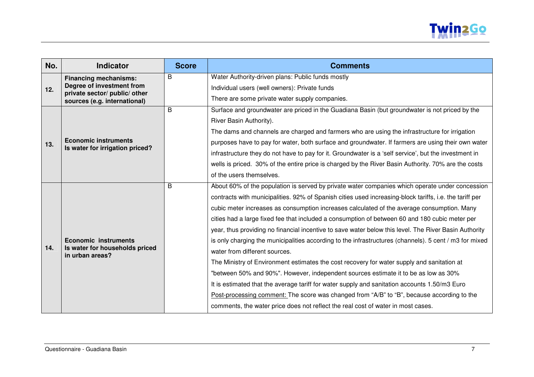

| No. | <b>Indicator</b>                                              | <b>Score</b> | <b>Comments</b>                                                                                         |
|-----|---------------------------------------------------------------|--------------|---------------------------------------------------------------------------------------------------------|
|     | <b>Financing mechanisms:</b>                                  | B            | Water Authority-driven plans: Public funds mostly                                                       |
| 12. | Degree of investment from                                     |              | Individual users (well owners): Private funds                                                           |
|     | private sector/ public/ other<br>sources (e.g. international) |              | There are some private water supply companies.                                                          |
|     |                                                               | B            | Surface and groundwater are priced in the Guadiana Basin (but groundwater is not priced by the          |
|     |                                                               |              | River Basin Authority).                                                                                 |
|     |                                                               |              | The dams and channels are charged and farmers who are using the infrastructure for irrigation           |
| 13. | <b>Economic instruments</b>                                   |              | purposes have to pay for water, both surface and groundwater. If farmers are using their own water      |
|     | Is water for irrigation priced?                               |              | infrastructure they do not have to pay for it. Groundwater is a 'self service', but the investment in   |
|     |                                                               |              | wells is priced. 30% of the entire price is charged by the River Basin Authority. 70% are the costs     |
|     |                                                               |              | of the users themselves.                                                                                |
|     |                                                               | B            | About 60% of the population is served by private water companies which operate under concession         |
|     |                                                               |              | contracts with municipalities. 92% of Spanish cities used increasing-block tariffs, i.e. the tariff per |
|     |                                                               |              | cubic meter increases as consumption increases calculated of the average consumption. Many              |
|     |                                                               |              | cities had a large fixed fee that included a consumption of between 60 and 180 cubic meter per          |
|     |                                                               |              | year, thus providing no financial incentive to save water below this level. The River Basin Authority   |
|     | <b>Economic instruments</b>                                   |              | is only charging the municipalities according to the infrastructures (channels). 5 cent / m3 for mixed  |
| 14. | Is water for households priced<br>in urban areas?             |              | water from different sources.                                                                           |
|     |                                                               |              | The Ministry of Environment estimates the cost recovery for water supply and sanitation at              |
|     |                                                               |              | "between 50% and 90%". However, independent sources estimate it to be as low as 30%                     |
|     |                                                               |              | It is estimated that the average tariff for water supply and sanitation accounts 1.50/m3 Euro           |
|     |                                                               |              | Post-processing comment: The score was changed from "A/B" to "B", because according to the              |
|     |                                                               |              | comments, the water price does not reflect the real cost of water in most cases.                        |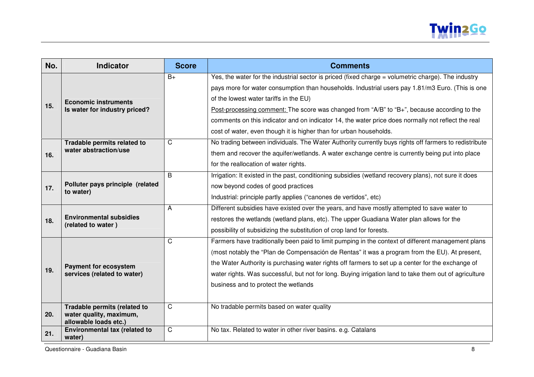

| No. | <b>Indicator</b>                                                                 | <b>Score</b> | <b>Comments</b>                                                                                                                                                                                                                                                                                                                                                                                                                                                                                                              |
|-----|----------------------------------------------------------------------------------|--------------|------------------------------------------------------------------------------------------------------------------------------------------------------------------------------------------------------------------------------------------------------------------------------------------------------------------------------------------------------------------------------------------------------------------------------------------------------------------------------------------------------------------------------|
| 15. | <b>Economic instruments</b><br>Is water for industry priced?                     | $B+$         | Yes, the water for the industrial sector is priced (fixed charge = volumetric charge). The industry<br>pays more for water consumption than households. Industrial users pay 1.81/m3 Euro. (This is one<br>of the lowest water tariffs in the EU)<br>Post-processing comment: The score was changed from "A/B" to "B+", because according to the<br>comments on this indicator and on indicator 14, the water price does normally not reflect the real<br>cost of water, even though it is higher than for urban households. |
| 16. | Tradable permits related to<br>water abstraction/use                             | C            | No trading between individuals. The Water Authority currently buys rights off farmers to redistribute<br>them and recover the aquifer/wetlands. A water exchange centre is currently being put into place<br>for the reallocation of water rights.                                                                                                                                                                                                                                                                           |
| 17. | Polluter pays principle (related<br>to water)                                    | B            | Irrigation: It existed in the past, conditioning subsidies (wetland recovery plans), not sure it does<br>now beyond codes of good practices<br>Industrial: principle partly applies ("canones de vertidos", etc)                                                                                                                                                                                                                                                                                                             |
| 18. | <b>Environmental subsidies</b><br>(related to water)                             | А            | Different subsidies have existed over the years, and have mostly attempted to save water to<br>restores the wetlands (wetland plans, etc). The upper Guadiana Water plan allows for the<br>possibility of subsidizing the substitution of crop land for forests.                                                                                                                                                                                                                                                             |
| 19. | <b>Payment for ecosystem</b><br>services (related to water)                      | C            | Farmers have traditionally been paid to limit pumping in the context of different management plans<br>(most notably the "Plan de Compensación de Rentas" it was a program from the EU). At present,<br>the Water Authority is purchasing water rights off farmers to set up a center for the exchange of<br>water rights. Was successful, but not for long. Buying irrigation land to take them out of agriculture<br>business and to protect the wetlands                                                                   |
| 20. | Tradable permits (related to<br>water quality, maximum,<br>allowable loads etc.) | C            | No tradable permits based on water quality                                                                                                                                                                                                                                                                                                                                                                                                                                                                                   |
| 21. | Environmental tax (related to<br>water)                                          | C            | No tax. Related to water in other river basins. e.g. Catalans                                                                                                                                                                                                                                                                                                                                                                                                                                                                |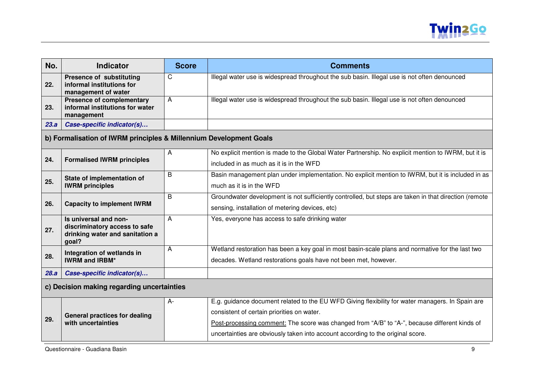

| No.                                        | <b>Indicator</b>                                                                                   | <b>Score</b> | <b>Comments</b>                                                                                                                                                     |
|--------------------------------------------|----------------------------------------------------------------------------------------------------|--------------|---------------------------------------------------------------------------------------------------------------------------------------------------------------------|
| 22.                                        | <b>Presence of substituting</b><br>informal institutions for<br>management of water                | C            | Illegal water use is widespread throughout the sub basin. Illegal use is not often denounced                                                                        |
| 23.                                        | <b>Presence of complementary</b><br>informal institutions for water<br>management                  | A            | Illegal water use is widespread throughout the sub basin. Illegal use is not often denounced                                                                        |
| 23.a                                       | Case-specific indicator(s)                                                                         |              |                                                                                                                                                                     |
|                                            | b) Formalisation of IWRM principles & Millennium Development Goals                                 |              |                                                                                                                                                                     |
| 24.                                        | <b>Formalised IWRM principles</b>                                                                  | A            | No explicit mention is made to the Global Water Partnership. No explicit mention to IWRM, but it is<br>included in as much as it is in the WFD                      |
| 25.                                        | State of implementation of<br><b>IWRM</b> principles                                               | B            | Basin management plan under implementation. No explicit mention to IWRM, but it is included in as<br>much as it is in the WFD                                       |
| 26.                                        | <b>Capacity to implement IWRM</b>                                                                  | B            | Groundwater development is not sufficiently controlled, but steps are taken in that direction (remote<br>sensing, installation of metering devices, etc)            |
| 27.                                        | Is universal and non-<br>discriminatory access to safe<br>drinking water and sanitation a<br>goal? | A            | Yes, everyone has access to safe drinking water                                                                                                                     |
| 28.                                        | Integration of wetlands in<br><b>IWRM and IRBM*</b>                                                | A            | Wetland restoration has been a key goal in most basin-scale plans and normative for the last two<br>decades. Wetland restorations goals have not been met, however. |
| 28.a                                       | Case-specific indicator(s)                                                                         |              |                                                                                                                                                                     |
| c) Decision making regarding uncertainties |                                                                                                    |              |                                                                                                                                                                     |
|                                            |                                                                                                    | A-           | E.g. guidance document related to the EU WFD Giving flexibility for water managers. In Spain are                                                                    |
|                                            | <b>General practices for dealing</b>                                                               |              | consistent of certain priorities on water.                                                                                                                          |
| 29.                                        | with uncertainties                                                                                 |              | Post-processing comment: The score was changed from "A/B" to "A-", because different kinds of                                                                       |
|                                            |                                                                                                    |              | uncertainties are obviously taken into account according to the original score.                                                                                     |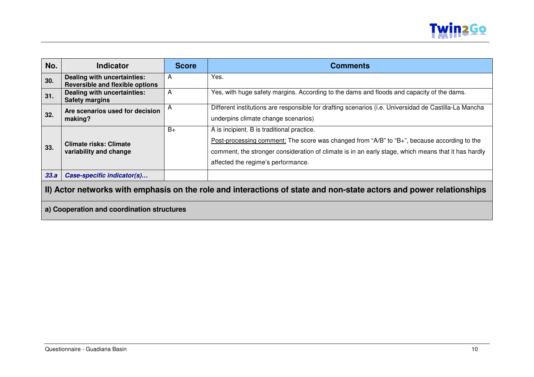

| No.  | <b>Indicator</b>                                                      | <b>Score</b> | <b>Comments</b>                                                                                                                                                                                                                                                                        |
|------|-----------------------------------------------------------------------|--------------|----------------------------------------------------------------------------------------------------------------------------------------------------------------------------------------------------------------------------------------------------------------------------------------|
| 30.  | Dealing with uncertainties:<br><b>Reversible and flexible options</b> | A            | Yes.                                                                                                                                                                                                                                                                                   |
| 31.  | Dealing with uncertainties:<br><b>Safety margins</b>                  | A            | Yes, with huge safety margins. According to the dams and floods and capacity of the dams.                                                                                                                                                                                              |
| 32.  | Are scenarios used for decision<br>making?                            | A            | Different institutions are responsible for drafting scenarios (i.e. Universidad de Castilla-La Mancha<br>underpins climate change scenarios)                                                                                                                                           |
| 33.  | <b>Climate risks: Climate</b><br>variability and change               | $B+$         | A is incipient. B is traditional practice.<br>Post-processing comment: The score was changed from "A/B" to "B+", because according to the<br>comment, the stronger consideration of climate is in an early stage, which means that it has hardly<br>affected the regime's performance. |
| 33.a | Case-specific indicator(s)                                            |              |                                                                                                                                                                                                                                                                                        |

## **II) Actor networks with emphasis on the role and interactions of state and non-state actors and power relationships**

**a) Cooperation and coordination structures**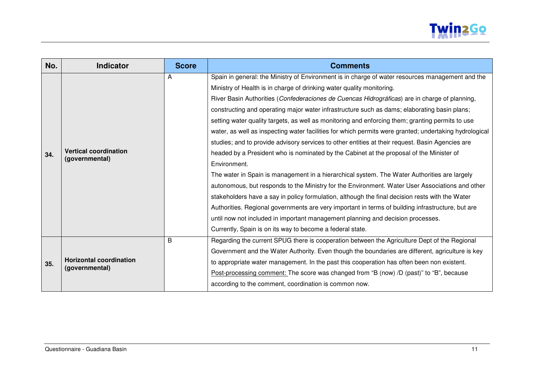

| No. | <b>Indicator</b>                                 | <b>Score</b> | <b>Comments</b>                                                                                                                                                                                                                                                                                                                                                                                                                                                                                                                                                                                                                                                                                                                                                                                                                                                                                                                                                                                                                                                                                                                                                                                                                                                                                                                                                     |
|-----|--------------------------------------------------|--------------|---------------------------------------------------------------------------------------------------------------------------------------------------------------------------------------------------------------------------------------------------------------------------------------------------------------------------------------------------------------------------------------------------------------------------------------------------------------------------------------------------------------------------------------------------------------------------------------------------------------------------------------------------------------------------------------------------------------------------------------------------------------------------------------------------------------------------------------------------------------------------------------------------------------------------------------------------------------------------------------------------------------------------------------------------------------------------------------------------------------------------------------------------------------------------------------------------------------------------------------------------------------------------------------------------------------------------------------------------------------------|
| 34. | <b>Vertical coordination</b><br>(governmental)   | Α            | Spain in general: the Ministry of Environment is in charge of water resources management and the<br>Ministry of Health is in charge of drinking water quality monitoring.<br>River Basin Authorities (Confederaciones de Cuencas Hidrográficas) are in charge of planning,<br>constructing and operating major water infrastructure such as dams; elaborating basin plans;<br>setting water quality targets, as well as monitoring and enforcing them; granting permits to use<br>water, as well as inspecting water facilities for which permits were granted; undertaking hydrological<br>studies; and to provide advisory services to other entities at their request. Basin Agencies are<br>headed by a President who is nominated by the Cabinet at the proposal of the Minister of<br>Environment.<br>The water in Spain is management in a hierarchical system. The Water Authorities are largely<br>autonomous, but responds to the Ministry for the Environment. Water User Associations and other<br>stakeholders have a say in policy formulation, although the final decision rests with the Water<br>Authorities. Regional governments are very important in terms of building infrastructure, but are<br>until now not included in important management planning and decision processes.<br>Currently, Spain is on its way to become a federal state. |
| 35. | <b>Horizontal coordination</b><br>(governmental) | B            | Regarding the current SPUG there is cooperation between the Agriculture Dept of the Regional<br>Government and the Water Authority. Even though the boundaries are different, agriculture is key<br>to appropriate water management. In the past this cooperation has often been non existent.<br>Post-processing comment: The score was changed from "B (now) /D (past)" to "B", because<br>according to the comment, coordination is common now.                                                                                                                                                                                                                                                                                                                                                                                                                                                                                                                                                                                                                                                                                                                                                                                                                                                                                                                  |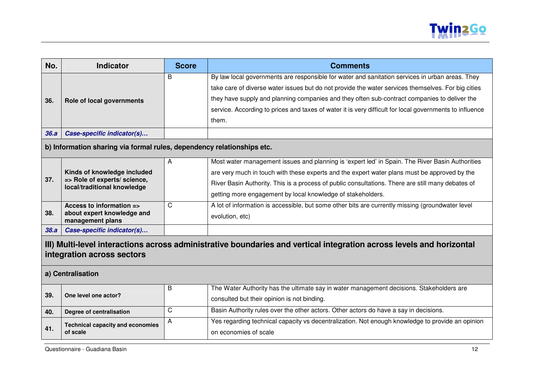

| No.                                                                                                                                                                     | <b>Indicator</b>                                                                           | <b>Score</b> | <b>Comments</b>                                                                                                                                                                                                                                                                                                                                                                                                           |
|-------------------------------------------------------------------------------------------------------------------------------------------------------------------------|--------------------------------------------------------------------------------------------|--------------|---------------------------------------------------------------------------------------------------------------------------------------------------------------------------------------------------------------------------------------------------------------------------------------------------------------------------------------------------------------------------------------------------------------------------|
| 36.                                                                                                                                                                     | Role of local governments                                                                  | B            | By law local governments are responsible for water and sanitation services in urban areas. They<br>take care of diverse water issues but do not provide the water services themselves. For big cities<br>they have supply and planning companies and they often sub-contract companies to deliver the<br>service. According to prices and taxes of water it is very difficult for local governments to influence<br>them. |
| 36.a                                                                                                                                                                    | Case-specific indicator(s)                                                                 |              |                                                                                                                                                                                                                                                                                                                                                                                                                           |
|                                                                                                                                                                         | b) Information sharing via formal rules, dependency relationships etc.                     |              |                                                                                                                                                                                                                                                                                                                                                                                                                           |
| 37.                                                                                                                                                                     | Kinds of knowledge included<br>=> Role of experts/ science,<br>local/traditional knowledge | A            | Most water management issues and planning is 'expert led' in Spain. The River Basin Authorities<br>are very much in touch with these experts and the expert water plans must be approved by the<br>River Basin Authority. This is a process of public consultations. There are still many debates of<br>getting more engagement by local knowledge of stakeholders.                                                       |
| 38.                                                                                                                                                                     | Access to information =><br>about expert knowledge and<br>management plans                 | C            | A lot of information is accessible, but some other bits are currently missing (groundwater level<br>evolution, etc)                                                                                                                                                                                                                                                                                                       |
| 38.a                                                                                                                                                                    | Case-specific indicator(s)                                                                 |              |                                                                                                                                                                                                                                                                                                                                                                                                                           |
| III) Multi-level interactions across administrative boundaries and vertical integration across levels and horizontal<br>integration across sectors<br>a) Centralisation |                                                                                            |              |                                                                                                                                                                                                                                                                                                                                                                                                                           |
| 39.                                                                                                                                                                     | One level one actor?                                                                       | B            | The Water Authority has the ultimate say in water management decisions. Stakeholders are<br>consulted but their opinion is not binding.                                                                                                                                                                                                                                                                                   |
| 40.                                                                                                                                                                     | Degree of centralisation                                                                   | C            | Basin Authority rules over the other actors. Other actors do have a say in decisions.                                                                                                                                                                                                                                                                                                                                     |
| 41.                                                                                                                                                                     | <b>Technical capacity and economies</b><br>of scale                                        | A            | Yes regarding technical capacity vs decentralization. Not enough knowledge to provide an opinion<br>on economies of scale                                                                                                                                                                                                                                                                                                 |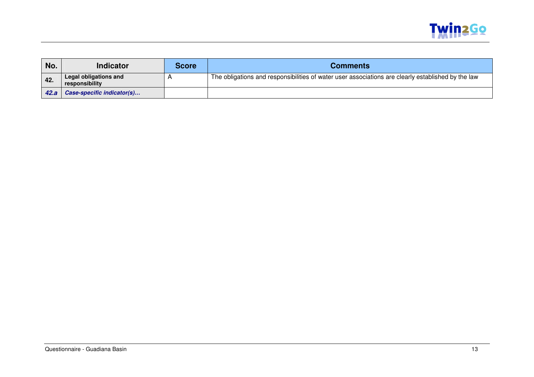

| No.  | Indicator                               | Score | <b>Comments</b>                                                                                    |
|------|-----------------------------------------|-------|----------------------------------------------------------------------------------------------------|
| 42.  | Legal obligations and<br>responsibility |       | The obligations and responsibilities of water user associations are clearly established by the law |
| 42.a | Case-specific indicator(s)              |       |                                                                                                    |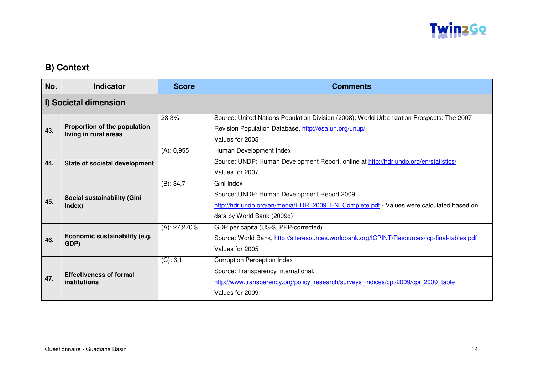

## **B) Context**

| No. | <b>Indicator</b>                                      | <b>Score</b>     | <b>Comments</b>                                                                                                                                                                     |
|-----|-------------------------------------------------------|------------------|-------------------------------------------------------------------------------------------------------------------------------------------------------------------------------------|
|     | I) Societal dimension                                 |                  |                                                                                                                                                                                     |
| 43. | Proportion of the population<br>living in rural areas | 23,3%            | Source: United Nations Population Division (2008): World Urbanization Prospects: The 2007<br>Revision Population Database, http://esa.un.org/unup/<br>Values for 2005               |
| 44. | State of societal development                         | (A): 0,955       | Human Development Index<br>Source: UNDP: Human Development Report, online at http://hdr.undp.org/en/statistics/<br>Values for 2007                                                  |
| 45. | Social sustainability (Gini<br>Index)                 | $(B)$ : 34,7     | Gini Index<br>Source: UNDP: Human Development Report 2009,<br>http://hdr.undp.org/en/media/HDR 2009 EN Complete.pdf - Values were calculated based on<br>data by World Bank (2009d) |
| 46. | Economic sustainability (e.g.<br>GDP)                 | $(A): 27,270$ \$ | GDP per capita (US-\$, PPP-corrected)<br>Source: World Bank, http://siteresources.worldbank.org/ICPINT/Resources/icp-final-tables.pdf<br>Values for 2005                            |
| 47. | <b>Effectiveness of formal</b><br>institutions        | (C): 6, 1        | <b>Corruption Perception Index</b><br>Source: Transparency International,<br>http://www.transparency.org/policy research/surveys indices/cpi/2009/cpi 2009 table<br>Values for 2009 |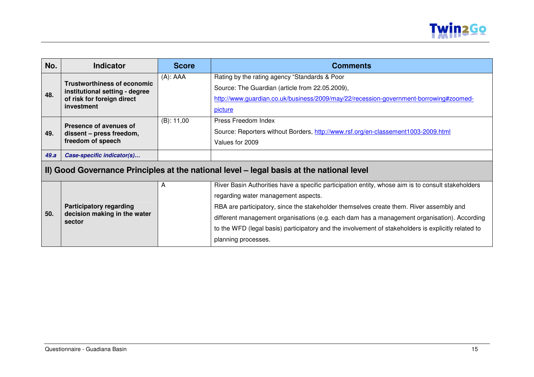

| No.  | <b>Indicator</b>                                                                         | <b>Score</b>  | <b>Comments</b>                                                                                     |  |  |
|------|------------------------------------------------------------------------------------------|---------------|-----------------------------------------------------------------------------------------------------|--|--|
|      | <b>Trustworthiness of economic</b>                                                       | $(A)$ : AAA   | Rating by the rating agency "Standards & Poor                                                       |  |  |
| 48.  | institutional setting - degree                                                           |               | Source: The Guardian (article from 22.05.2009),                                                     |  |  |
|      | of risk for foreign direct                                                               |               | http://www.guardian.co.uk/business/2009/may/22/recession-government-borrowing#zoomed-               |  |  |
|      | investment                                                                               |               | picture                                                                                             |  |  |
|      | Presence of avenues of                                                                   | $(B)$ : 11,00 | Press Freedom Index                                                                                 |  |  |
| 49.  | dissent - press freedom,                                                                 |               | Source: Reporters without Borders, http://www.rsf.org/en-classement1003-2009.html                   |  |  |
|      | freedom of speech                                                                        |               | Values for 2009                                                                                     |  |  |
| 49.a | Case-specific indicator(s)                                                               |               |                                                                                                     |  |  |
|      | II) Good Governance Principles at the national level - legal basis at the national level |               |                                                                                                     |  |  |
|      |                                                                                          | A             | River Basin Authorities have a specific participation entity, whose aim is to consult stakeholders  |  |  |
|      |                                                                                          |               | regarding water management aspects.                                                                 |  |  |
|      | <b>Participatory regarding</b>                                                           |               | RBA are participatory, since the stakeholder themselves create them. River assembly and             |  |  |
| 50.  | decision making in the water<br>sector                                                   |               | different management organisations (e.g. each dam has a management organisation). According         |  |  |
|      |                                                                                          |               | to the WFD (legal basis) participatory and the involvement of stakeholders is explicitly related to |  |  |
|      |                                                                                          |               | planning processes.                                                                                 |  |  |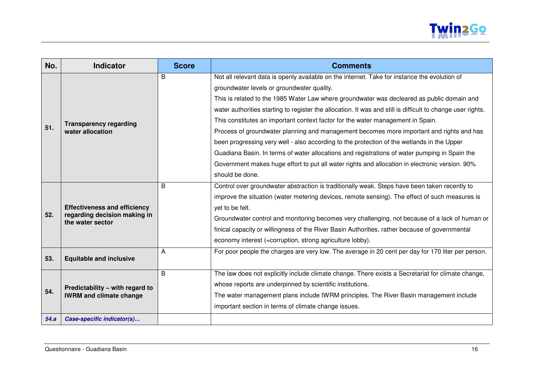

| No.  | <b>Indicator</b>                                 | <b>Score</b> | <b>Comments</b>                                                                                             |  |
|------|--------------------------------------------------|--------------|-------------------------------------------------------------------------------------------------------------|--|
|      |                                                  | B            | Not all relevant data is openly available on the internet. Take for instance the evolution of               |  |
|      |                                                  |              | groundwater levels or groundwater quality.                                                                  |  |
|      |                                                  |              | This is related to the 1985 Water Law where groundwater was decleared as public domain and                  |  |
|      |                                                  |              | water authorities starting to register the allocation. It was and still is difficult to change user rights. |  |
|      | <b>Transparency regarding</b>                    |              | This constitutes an important context factor for the water management in Spain.                             |  |
| 51.  | water allocation                                 |              | Process of groundwater planning and management becomes more important and rights and has                    |  |
|      |                                                  |              | been progressing very well - also according to the protection of the wetlands in the Upper                  |  |
|      |                                                  |              | Guadiana Basin. In terms of water allocations and registrations of water pumping in Spain the               |  |
|      |                                                  |              | Government makes huge effort to put all water rights and allocation in electronic version. 90%              |  |
|      |                                                  |              | should be done.                                                                                             |  |
|      |                                                  | B            | Control over groundwater abstraction is traditionally weak. Steps have been taken recently to               |  |
|      |                                                  |              | improve the situation (water metering devices, remote sensing). The effect of such measures is              |  |
|      | <b>Effectiveness and efficiency</b>              |              | yet to be felt.                                                                                             |  |
| 52.  | regarding decision making in<br>the water sector |              | Groundwater control and monitoring becomes very challenging, not because of a lack of human or              |  |
|      |                                                  |              | finical capacity or willingness of the River Basin Authorities, rather because of governmental              |  |
|      |                                                  |              | economy interest (=corruption, strong agriculture lobby).                                                   |  |
|      |                                                  | A            | For poor people the charges are very low. The average in 20 cent per day for 170 liter per person.          |  |
| 53.  | <b>Equitable and inclusive</b>                   |              |                                                                                                             |  |
|      |                                                  | B            | The law does not explicitly include climate change. There exists a Secretariat for climate change,          |  |
|      | Predictability - with regard to                  |              | whose reports are underpinned by scientific institutions.                                                   |  |
| 54.  | <b>IWRM and climate change</b>                   |              | The water management plans include IWRM principles. The River Basin management include                      |  |
|      |                                                  |              | important section in terms of climate change issues.                                                        |  |
| 54.a | Case-specific indicator(s)                       |              |                                                                                                             |  |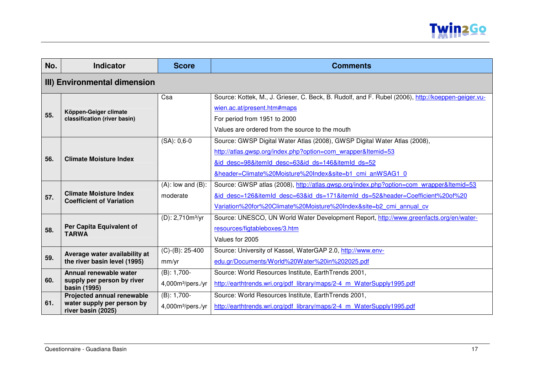

| No.                          | <b>Indicator</b>                                                 | <b>Score</b>                  | <b>Comments</b>                                                                                    |  |
|------------------------------|------------------------------------------------------------------|-------------------------------|----------------------------------------------------------------------------------------------------|--|
| III) Environmental dimension |                                                                  |                               |                                                                                                    |  |
|                              |                                                                  | Csa                           | Source: Kottek, M., J. Grieser, C. Beck, B. Rudolf, and F. Rubel (2006), http://koeppen-geiger.vu- |  |
|                              | Köppen-Geiger climate                                            |                               | wien.ac.at/present.htm#maps                                                                        |  |
| 55.                          | classification (river basin)                                     |                               | For period from 1951 to 2000                                                                       |  |
|                              |                                                                  |                               | Values are ordered from the source to the mouth                                                    |  |
|                              |                                                                  | $(SA): 0,6-0$                 | Source: GWSP Digital Water Atlas (2008), GWSP Digital Water Atlas (2008),                          |  |
|                              |                                                                  |                               | http://atlas.gwsp.org/index.php?option=com wrapper&Itemid=53                                       |  |
| 56.                          | <b>Climate Moisture Index</b>                                    |                               | &id desc=98&itemId desc=63&id ds=146&itemId ds=52                                                  |  |
|                              |                                                                  |                               | &header=Climate%20Moisture%20Index&site=b1 cmi anWSAG1 0                                           |  |
|                              |                                                                  | $(A)$ : low and $(B)$ :       | Source: GWSP atlas (2008), http://atlas.gwsp.org/index.php?option=com_wrapper&Itemid=53            |  |
| 57.                          | <b>Climate Moisture Index</b><br><b>Coefficient of Variation</b> | moderate                      | &id desc=126&itemId desc=63&id ds=171&itemId ds=52&header=Coefficient%20of%20                      |  |
|                              |                                                                  |                               | Variation%20for%20Climate%20Moisture%20Index&site=b2 cmi annual cv                                 |  |
|                              |                                                                  | $(D): 2,710m^3/yr$            | Source: UNESCO, UN World Water Development Report, http://www.greenfacts.org/en/water-             |  |
| 58.                          | Per Capita Equivalent of                                         |                               | resources/figtableboxes/3.htm                                                                      |  |
|                              | <b>TARWA</b>                                                     |                               | Values for 2005                                                                                    |  |
|                              | Average water availability at                                    | $(C)-(B)$ : 25-400            | Source: University of Kassel, WaterGAP 2.0, http://www.env-                                        |  |
| 59.                          | the river basin level (1995)                                     | mm/yr                         | edu.gr/Documents/World%20Water%20in%202025.pdf                                                     |  |
|                              | Annual renewable water                                           | $(B): 1,700-$                 | Source: World Resources Institute, EarthTrends 2001,                                               |  |
| 60.                          | supply per person by river<br>basin (1995)                       | 4,000m <sup>3</sup> /pers./yr | http://earthtrends.wri.org/pdf library/maps/2-4 m WaterSupply1995.pdf                              |  |
|                              | Projected annual renewable                                       | $(B): 1,700-$                 | Source: World Resources Institute, EarthTrends 2001,                                               |  |
| 61.                          | water supply per person by<br>river basin (2025)                 | 4,000m <sup>3</sup> /pers./yr | http://earthtrends.wri.org/pdf library/maps/2-4 m WaterSupply1995.pdf                              |  |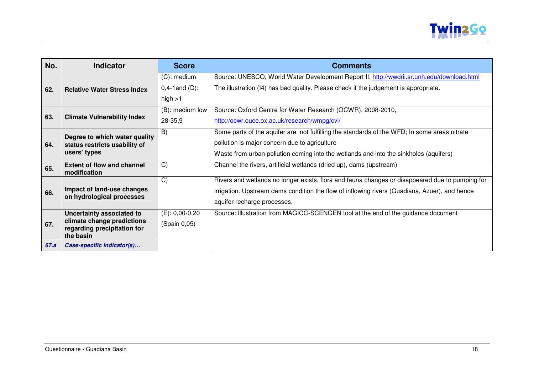

| No.  | <b>Indicator</b>                                          | <b>Score</b>        | Comments                                                                                        |
|------|-----------------------------------------------------------|---------------------|-------------------------------------------------------------------------------------------------|
|      |                                                           | $(C)$ : medium      | Source: UNESCO, World Water Development Report II, http://wwdrii.sr.unh.edu/download.html       |
| 62.  | <b>Relative Water Stress Index</b>                        | $0,4-1$ and $(D)$ : | The illustration (I4) has bad quality. Please check if the judgement is appropriate.            |
|      |                                                           | high $>1$           |                                                                                                 |
|      |                                                           | (B): medium low     | Source: Oxford Centre for Water Research (OCWR), 2008-2010,                                     |
| 63.  | <b>Climate Vulnerability Index</b>                        | 28-35,9             | http://ocwr.ouce.ox.ac.uk/research/wmpg/cvi/                                                    |
|      | Degree to which water quality                             | B)                  | Some parts of the aquifer are not fulfilling the standards of the WFD; In some areas nitrate    |
| 64.  | status restricts usability of                             |                     | pollution is major concern due to agriculture                                                   |
|      | users' types                                              |                     | Waste from urban pollution coming into the wetlands and into the sinkholes (aquifers)           |
| 65.  | <b>Extent of flow and channel</b><br>modification         | C)                  | Channel the rivers, artificial wetlands (dried up), dams (upstream)                             |
|      |                                                           | C)                  | Rivers and wetlands no longer exists, flora and fauna changes or disappeared due to pumping for |
| 66.  | Impact of land-use changes<br>on hydrological processes   |                     | irrigation. Upstream dams condition the flow of inflowing rivers (Guadiana, Azuer), and hence   |
|      |                                                           |                     | aquifer recharge processes.                                                                     |
|      | Uncertainty associated to                                 | $(E)$ : 0,00-0,20   | Source: Illustration from MAGICC-SCENGEN tool at the end of the guidance document               |
| 67.  | climate change predictions<br>regarding precipitation for | (Spain 0,05)        |                                                                                                 |
|      | the basin                                                 |                     |                                                                                                 |
| 67.a | Case-specific indicator(s)                                |                     |                                                                                                 |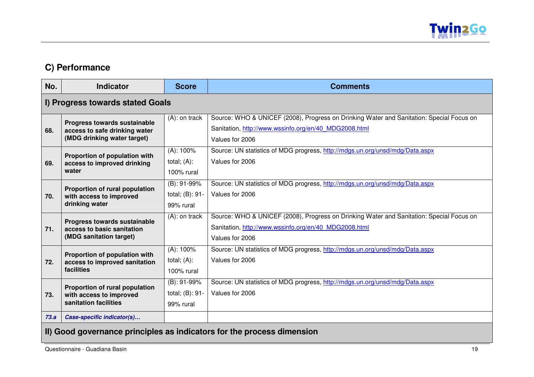

# **C) Performance**

| No.                              | <b>Indicator</b>                                                                             | <b>Score</b>                                 | <b>Comments</b>                                                                                                                                                      |
|----------------------------------|----------------------------------------------------------------------------------------------|----------------------------------------------|----------------------------------------------------------------------------------------------------------------------------------------------------------------------|
| I) Progress towards stated Goals |                                                                                              |                                              |                                                                                                                                                                      |
| 68.                              | Progress towards sustainable<br>access to safe drinking water<br>(MDG drinking water target) | $(A)$ : on track                             | Source: WHO & UNICEF (2008), Progress on Drinking Water and Sanitation: Special Focus on<br>Sanitation, http://www.wssinfo.org/en/40 MDG2008.html<br>Values for 2006 |
| 69.                              | Proportion of population with<br>access to improved drinking<br>water                        | $(A)$ : 100%<br>total; $(A)$ :<br>100% rural | Source: UN statistics of MDG progress, http://mdgs.un.org/unsd/mdg/Data.aspx<br>Values for 2006                                                                      |
| 70.                              | Proportion of rural population<br>with access to improved<br>drinking water                  | (B): 91-99%<br>total; (B): 91-<br>99% rural  | Source: UN statistics of MDG progress, http://mdgs.un.org/unsd/mdg/Data.aspx<br>Values for 2006                                                                      |
| 71.                              | Progress towards sustainable<br>access to basic sanitation<br>(MDG sanitation target)        | $(A)$ : on track                             | Source: WHO & UNICEF (2008), Progress on Drinking Water and Sanitation: Special Focus on<br>Sanitation, http://www.wssinfo.org/en/40 MDG2008.html<br>Values for 2006 |
| 72.                              | Proportion of population with<br>access to improved sanitation<br>facilities                 | $(A)$ : 100%<br>total; $(A)$ :<br>100% rural | Source: UN statistics of MDG progress, http://mdgs.un.org/unsd/mdg/Data.aspx<br>Values for 2006                                                                      |
| 73.                              | Proportion of rural population<br>with access to improved<br>sanitation facilities           | (B): 91-99%<br>total; (B): 91-<br>99% rural  | Source: UN statistics of MDG progress, http://mdgs.un.org/unsd/mdg/Data.aspx<br>Values for 2006                                                                      |
| 73.a                             | Case-specific indicator(s)                                                                   |                                              |                                                                                                                                                                      |
|                                  |                                                                                              |                                              |                                                                                                                                                                      |

#### **II) Good governance principles as indicators for the process dimension**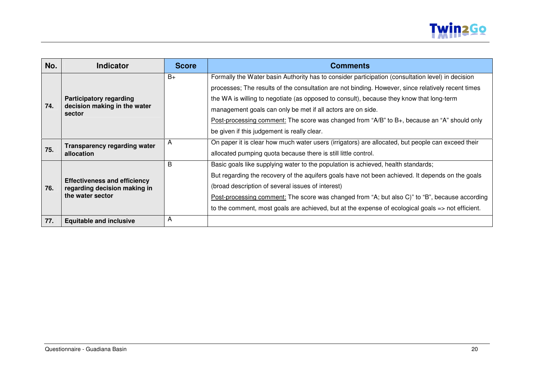

| No. | <b>Indicator</b>                                                                        | <b>Score</b> | <b>Comments</b>                                                                                                                                                                                                                                                                                                                                                                                                                                                                                                  |
|-----|-----------------------------------------------------------------------------------------|--------------|------------------------------------------------------------------------------------------------------------------------------------------------------------------------------------------------------------------------------------------------------------------------------------------------------------------------------------------------------------------------------------------------------------------------------------------------------------------------------------------------------------------|
| 74. | <b>Participatory regarding</b><br>decision making in the water<br>sector                | $B+$         | Formally the Water basin Authority has to consider participation (consultation level) in decision<br>processes; The results of the consultation are not binding. However, since relatively recent times<br>the WA is willing to negotiate (as opposed to consult), because they know that long-term<br>management goals can only be met if all actors are on side.<br>Post-processing comment: The score was changed from "A/B" to B+, because an "A" should only<br>be given if this judgement is really clear. |
| 75. | <b>Transparency regarding water</b><br>allocation                                       | A            | On paper it is clear how much water users (irrigators) are allocated, but people can exceed their<br>allocated pumping quota because there is still little control.                                                                                                                                                                                                                                                                                                                                              |
| 76. | <b>Effectiveness and efficiency</b><br>regarding decision making in<br>the water sector | B            | Basic goals like supplying water to the population is achieved, health standards;<br>But regarding the recovery of the aquifers goals have not been achieved. It depends on the goals<br>(broad description of several issues of interest)<br>Post-processing comment: The score was changed from "A; but also C)" to "B", because according<br>to the comment, most goals are achieved, but at the expense of ecological goals $\Rightarrow$ not efficient.                                                     |
| 77. | <b>Equitable and inclusive</b>                                                          | A            |                                                                                                                                                                                                                                                                                                                                                                                                                                                                                                                  |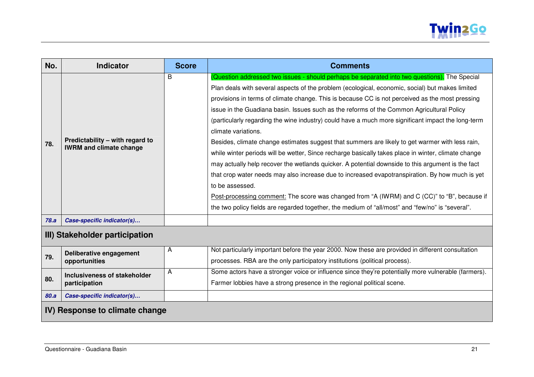

| No.  | <b>Indicator</b>                                                  | <b>Score</b> | <b>Comments</b>                                                                                                                                                                                                                                                                                                                                                                                                                                                                                                                                                                                                                                                                                                                                                                                                                                                                                                                                                                                                                                                                                                                                                        |  |  |
|------|-------------------------------------------------------------------|--------------|------------------------------------------------------------------------------------------------------------------------------------------------------------------------------------------------------------------------------------------------------------------------------------------------------------------------------------------------------------------------------------------------------------------------------------------------------------------------------------------------------------------------------------------------------------------------------------------------------------------------------------------------------------------------------------------------------------------------------------------------------------------------------------------------------------------------------------------------------------------------------------------------------------------------------------------------------------------------------------------------------------------------------------------------------------------------------------------------------------------------------------------------------------------------|--|--|
| 78.  | Predictability - with regard to<br><b>IWRM and climate change</b> | B            | (Question addressed two issues - should perhaps be separated into two questions). The Special<br>Plan deals with several aspects of the problem (ecological, economic, social) but makes limited<br>provisions in terms of climate change. This is because CC is not perceived as the most pressing<br>issue in the Guadiana basin. Issues such as the reforms of the Common Agricultural Policy<br>(particularly regarding the wine industry) could have a much more significant impact the long-term<br>climate variations.<br>Besides, climate change estimates suggest that summers are likely to get warmer with less rain,<br>while winter periods will be wetter, Since recharge basically takes place in winter, climate change<br>may actually help recover the wetlands quicker. A potential downside to this argument is the fact<br>that crop water needs may also increase due to increased evapotranspiration. By how much is yet<br>to be assessed.<br>Post-processing comment: The score was changed from "A (IWRM) and C (CC)" to "B", because if<br>the two policy fields are regarded together, the medium of "all/most" and "few/no" is "several". |  |  |
| 78.a | Case-specific indicator(s)                                        |              |                                                                                                                                                                                                                                                                                                                                                                                                                                                                                                                                                                                                                                                                                                                                                                                                                                                                                                                                                                                                                                                                                                                                                                        |  |  |
|      | III) Stakeholder participation                                    |              |                                                                                                                                                                                                                                                                                                                                                                                                                                                                                                                                                                                                                                                                                                                                                                                                                                                                                                                                                                                                                                                                                                                                                                        |  |  |
| 79.  | Deliberative engagement<br>opportunities                          | A            | Not particularly important before the year 2000. Now these are provided in different consultation<br>processes. RBA are the only participatory institutions (political process).                                                                                                                                                                                                                                                                                                                                                                                                                                                                                                                                                                                                                                                                                                                                                                                                                                                                                                                                                                                       |  |  |
| 80.  | Inclusiveness of stakeholder<br>participation                     | A            | Some actors have a stronger voice or influence since they're potentially more vulnerable (farmers).<br>Farmer lobbies have a strong presence in the regional political scene.                                                                                                                                                                                                                                                                                                                                                                                                                                                                                                                                                                                                                                                                                                                                                                                                                                                                                                                                                                                          |  |  |
| 80.a | Case-specific indicator(s)                                        |              |                                                                                                                                                                                                                                                                                                                                                                                                                                                                                                                                                                                                                                                                                                                                                                                                                                                                                                                                                                                                                                                                                                                                                                        |  |  |
|      | IV) Response to climate change                                    |              |                                                                                                                                                                                                                                                                                                                                                                                                                                                                                                                                                                                                                                                                                                                                                                                                                                                                                                                                                                                                                                                                                                                                                                        |  |  |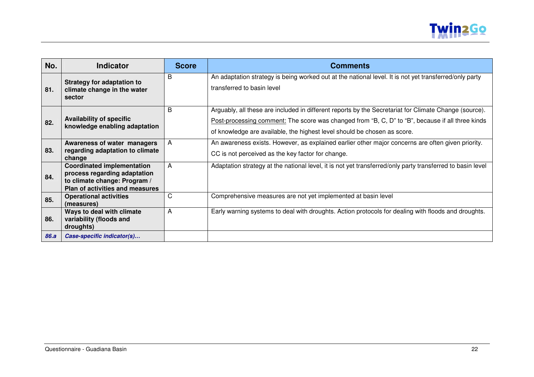

| No.         | <b>Indicator</b>                                                                                                                     | <b>Score</b> | <b>Comments</b>                                                                                                                                                                                                                                                                       |
|-------------|--------------------------------------------------------------------------------------------------------------------------------------|--------------|---------------------------------------------------------------------------------------------------------------------------------------------------------------------------------------------------------------------------------------------------------------------------------------|
| 81.         | <b>Strategy for adaptation to</b><br>climate change in the water<br>sector                                                           | B            | An adaptation strategy is being worked out at the national level. It is not yet transferred/only party<br>transferred to basin level                                                                                                                                                  |
| 82.         | <b>Availability of specific</b><br>knowledge enabling adaptation                                                                     | B            | Arguably, all these are included in different reports by the Secretariat for Climate Change (source).<br>Post-processing comment: The score was changed from "B, C, D" to "B", because if all three kinds<br>of knowledge are available, the highest level should be chosen as score. |
| 83.         | Awareness of water managers<br>regarding adaptation to climate<br>change                                                             | A            | An awareness exists. However, as explained earlier other major concerns are often given priority.<br>CC is not perceived as the key factor for change.                                                                                                                                |
| 84.         | <b>Coordinated implementation</b><br>process regarding adaptation<br>to climate change: Program /<br>Plan of activities and measures | A            | Adaptation strategy at the national level, it is not yet transferred/only party transferred to basin level                                                                                                                                                                            |
| 85.         | <b>Operational activities</b><br>(measures)                                                                                          | C            | Comprehensive measures are not yet implemented at basin level                                                                                                                                                                                                                         |
| 86.         | Ways to deal with climate<br>variability (floods and<br>droughts)                                                                    | A            | Early warning systems to deal with droughts. Action protocols for dealing with floods and droughts.                                                                                                                                                                                   |
| <b>86.a</b> | Case-specific indicator(s)                                                                                                           |              |                                                                                                                                                                                                                                                                                       |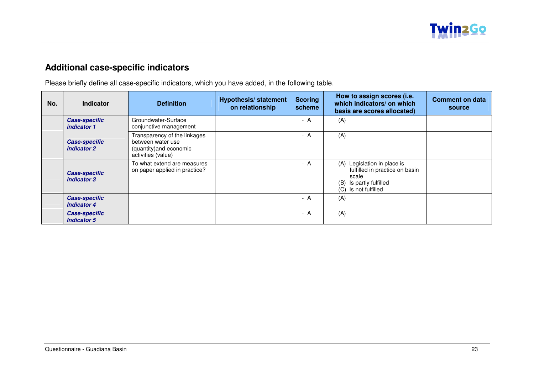

# **Additional case-specific indicators**

Please briefly define all case-specific indicators, which you have added, in the following table.

| No. | <b>Indicator</b>                           | <b>Definition</b>                                                                                  | <b>Hypothesis/statement</b><br>on relationship | <b>Scoring</b><br>scheme | How to assign scores (i.e.<br>which indicators/ on which<br>basis are scores allocated)                                      | <b>Comment on data</b><br>source |
|-----|--------------------------------------------|----------------------------------------------------------------------------------------------------|------------------------------------------------|--------------------------|------------------------------------------------------------------------------------------------------------------------------|----------------------------------|
|     | <b>Case-specific</b><br>indicator 1        | Groundwater-Surface<br>conjunctive management                                                      |                                                | - A                      | (A)                                                                                                                          |                                  |
|     | <b>Case-specific</b><br>indicator 2        | Transparency of the linkages<br>between water use<br>(quantity) and economic<br>activities (value) |                                                | - A                      | (A)                                                                                                                          |                                  |
|     | <b>Case-specific</b><br>indicator 3        | To what extend are measures<br>on paper applied in practice?                                       |                                                | - A                      | (A) Legislation in place is<br>fulfilled in practice on basin<br>scale<br>Is partly fulfilled<br>(B)<br>(C) Is not fulfilled |                                  |
|     | <b>Case-specific</b><br><b>Indicator 4</b> |                                                                                                    |                                                | - A                      | (A)                                                                                                                          |                                  |
|     | <b>Case-specific</b><br><b>Indicator 5</b> |                                                                                                    |                                                | - A                      | (A)                                                                                                                          |                                  |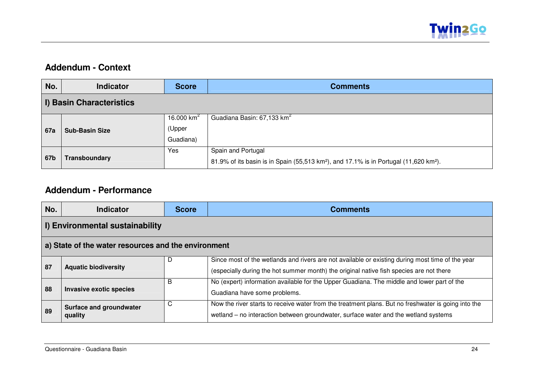

#### **Addendum - Context**

| No.        | <b>Indicator</b>         | <b>Score</b> | <b>Comments</b>                                                                                               |
|------------|--------------------------|--------------|---------------------------------------------------------------------------------------------------------------|
|            | I) Basin Characteristics |              |                                                                                                               |
| <b>67a</b> |                          | 16.000 $km2$ | Guadiana Basin: 67,133 km <sup>2</sup>                                                                        |
|            | <b>Sub-Basin Size</b>    | (Upper       |                                                                                                               |
|            |                          | Guadiana)    |                                                                                                               |
| 67b        |                          | Yes          | Spain and Portugal                                                                                            |
|            | <b>Transboundary</b>     |              | 81.9% of its basin is in Spain (55,513 km <sup>2</sup> ), and 17.1% is in Portugal (11,620 km <sup>2</sup> ). |

### **Addendum - Performance**

| No. | <b>Indicator</b>                                    | <b>Score</b> | <b>Comments</b>                                                                                                                                                                             |  |  |
|-----|-----------------------------------------------------|--------------|---------------------------------------------------------------------------------------------------------------------------------------------------------------------------------------------|--|--|
|     | I) Environmental sustainability                     |              |                                                                                                                                                                                             |  |  |
|     | a) State of the water resources and the environment |              |                                                                                                                                                                                             |  |  |
| 87  | <b>Aquatic biodiversity</b>                         | D            | Since most of the wetlands and rivers are not available or existing during most time of the year<br>(especially during the hot summer month) the original native fish species are not there |  |  |
| 88  | Invasive exotic species                             | в            | No (expert) information available for the Upper Guadiana. The middle and lower part of the<br>Guadiana have some problems.                                                                  |  |  |
| 89  | Surface and groundwater<br>quality                  | C            | Now the river starts to receive water from the treatment plans. But no freshwater is going into the<br>wetland – no interaction between groundwater, surface water and the wetland systems  |  |  |